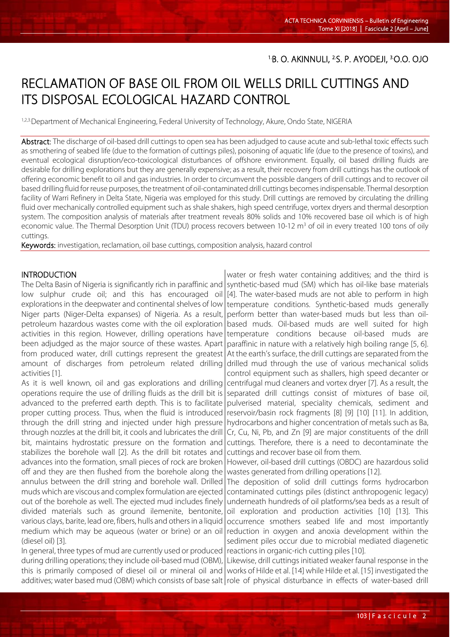# RECLAMATION OF BASE OIL FROM OIL WELLS DRILL CUTTINGS AND ITS DISPOSAL ECOLOGICAL HAZARD CONTROL

1,2,3. Department of Mechanical Engineering, Federal University of Technology, Akure, Ondo State, NIGERIA

Abstract: The discharge of oil-based drill cuttings to open sea has been adjudged to cause acute and sub-lethal toxic effects such as smothering of seabed life (due to the formation of cuttings piles), poisoning of aquatic life (due to the presence of toxins), and eventual ecological disruption/eco-toxicological disturbances of offshore environment. Equally, oil based drilling fluids are desirable for drilling explorations but they are generally expensive; as a result, their recovery from drill cuttings has the outlook of offering economic benefit to oil and gas industries. In order to circumvent the possible dangers of drill cuttings and to recover oil based drilling fluid for reuse purposes, the treatment of oil-contaminated drill cuttings becomes indispensable. Thermal desorption facility of Warri Refinery in Delta State, Nigeria was employed for this study. Drill cuttings are removed by circulating the drilling fluid over mechanically controlled equipment such as shale shakers, high speed centrifuge, vortex dryers and thermal desorption system. The composition analysis of materials after treatment reveals 80% solids and 10% recovered base oil which is of high economic value. The Thermal Desorption Unit (TDU) process recovers between 10-12 m<sup>3</sup> of oil in every treated 100 tons of oily cuttings.

Keywords: investigation, reclamation, oil base cuttings, composition analysis, hazard control

#### **INTRODUCTION**

l

The Delta Basin of Nigeria is significantly rich in paraffinic and low sulphur crude oil; and this has encouraged oil explorations in the deepwater and continental shelves of low Niger parts (Niger-Delta expanses) of Nigeria. As a result, petroleum hazardous wastes come with the oil exploration activities in this region. However, drilling operations have been adjudged as the major source of these wastes. Apart from produced water, drill cuttings represent the greatest amount of discharges from petroleum related drilling activities [1].

As it is well known, oil and gas explorations and drilling operations require the use of drilling fluids as the drill bit is advanced to the preferred earth depth. This is to facilitate proper cutting process. Thus, when the fluid is introduced through the drill string and injected under high pressure through nozzles at the drill bit, it cools and lubricates the drill bit, maintains hydrostatic pressure on the formation and stabilizes the borehole wall [2]. As the drill bit rotates and advances into the formation, small pieces of rock are broken off and they are then flushed from the borehole along the annulus between the drill string and borehole wall. Drilled muds which are viscous and complex formulation are ejected out of the borehole as well. The ejected mud includes finely divided materials such as ground ilemenite, bentonite, various clays, barite, lead ore, fibers, hulls and others in a liquid medium which may be aqueous (water or brine) or an oil (diesel oil) [3].

In general, three types of mud are currently used or produced during drilling operations; they include oil-based mud (OBM), this is primarily composed of diesel oil or mineral oil and additives; water based mud (OBM) which consists of base salt | role of physical disturbance in effects of water-based drill

water or fresh water containing additives; and the third is synthetic-based mud (SM) which has oil-like base materials [4]. The water-based muds are not able to perform in high temperature conditions. Synthetic-based muds generally perform better than water-based muds but less than oilbased muds. Oil-based muds are well suited for high temperature conditions because oil-based muds are paraffinic in nature with a relatively high boiling range [5, 6]. At the earth's surface, the drill cuttings are separated from the drilled mud through the use of various mechanical solids control equipment such as shallers, high speed decanter or centrifugal mud cleaners and vortex dryer [7]. As a result, the separated drill cuttings consist of mixtures of base oil, pulverised material, speciality chemicals, sediment and reservoir/basin rock fragments [8] [9] [10] [11]. In addition, hydrocarbons and higher concentration of metals such as Ba, Cr, Cu, Ni, Pb, and Zn [9] are major constituents of the drill cuttings. Therefore, there is a need to decontaminate the cuttings and recover base oil from them.

However, oil-based drill cuttings (OBDC) are hazardous solid wastes generated from drilling operations [12].

The deposition of solid drill cuttings forms hydrocarbon contaminated cuttings piles (distinct anthropogenic legacy) underneath hundreds of oil platforms/sea beds as a result of oil exploration and production activities [10] [13]. This occurrence smothers seabed life and most importantly reduction in oxygen and anoxia development within the sediment piles occur due to microbial mediated diagenetic reactions in organic-rich cutting piles [10].

Likewise, drill cuttings initiated weaker faunal response in the works of Hilde et al. [14] while Hilde et al. [15] investigated the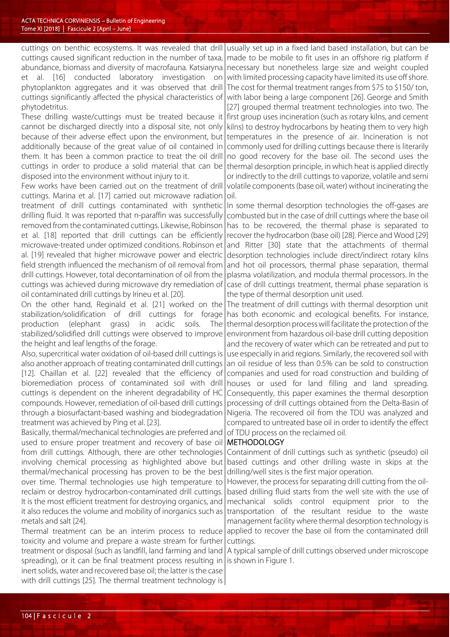cuttings on benthic ecosystems. It was revealed that drill cuttings caused significant reduction in the number of taxa, abundance, biomass and diversity of macrofauna. Katsiaryna et al. [16] conducted laboratory investigation on phytoplankton aggregates and it was observed that drill cuttings significantly affected the physical characteristics of phytodetritus.

These drilling waste/cuttings must be treated because it cannot be discharged directly into a disposal site, not only because of their adverse effect upon the environment, but additionally because of the great value of oil contained in them. It has been a common practice to treat the oil drill cuttings in order to produce a solid material that can be disposed into the environment without injury to it.

Few works have been carried out on the treatment of drill cuttings. Marina et al. [17] carried out microwave radiation treatment of drill cuttings contaminated with synthetic|In some thermal desorption technologies the off-gases are drilling fluid. It was reported that n-paraffin was successfully combusted but in the case of drill cuttings where the base oil removed from the contaminated cuttings. Likewise, Robinson et al. [18] reported that drill cuttings can be efficiently microwave-treated under optimized conditions. Robinson et al. [19] revealed that higher microwave power and electric field strength influenced the mechanism of oil removal from drill cuttings. However, total decontamination of oil from the cuttings was achieved during microwave dry remediation of oil contaminated drill cuttings by Irineu et al. [20].

On the other hand, Reginald et al. [21] worked on the The treatment of drill cuttings with thermal desorption unit stabilization/solidification of drill cuttings for forage production (elephant grass) in acidic soils. The stabilized/solidified drill cuttings were observed to improve the height and leaf lengths of the forage.

Also, supercritical water oxidation of oil-based drill cuttings is also another approach of treating contaminated drill cuttings [12]. Chaillan et al. [22] revealed that the efficiency of bioremediation process of contaminated soil with drill cuttings is dependent on the inherent degradability of HC compounds. However, remediation of oil-based drill cuttings through a biosurfactant-based washing and biodegradation treatment was achieved by Ping et al. [23].

Basically, thermal/mechanical technologies are preferred and used to ensure proper treatment and recovery of base oil from drill cuttings. Although, there are other technologies involving chemical processing as highlighted above but thermal/mechanical processing has proven to be the best over time. Thermal technologies use high temperature to reclaim or destroy hydrocarbon-contaminated drill cuttings. It is the most efficient treatment for destroying organics, and it also reduces the volume and mobility of inorganics such as metals and salt [24].

Thermal treatment can be an interim process to reduce toxicity and volume and prepare a waste stream for further treatment or disposal (such as landfill, land farming and land spreading), or it can be final treatment process resulting in inert solids, water and recovered base oil; the latter is the case with drill cuttings [25]. The thermal treatment technology is

usually set up in a fixed land based installation, but can be made to be mobile to fit uses in an offshore rig platform if necessary but nonetheless large size and weight coupled with limited processing capacity have limited its use off shore. The cost for thermal treatment ranges from \$75 to \$150/ ton, with labor being a large component [26]. George and Smith

[27] grouped thermal treatment technologies into two. The first group uses incineration (such as rotary kilns, and cement kilns) to destroy hydrocarbons by heating them to very high temperatures in the presence of air. Incineration is not commonly used for drilling cuttings because there is literarily no good recovery for the base oil. The second uses the thermal desorption principle, in which heat is applied directly or indirectly to the drill cuttings to vaporize, volatile and semi volatile components (base oil, water) without incinerating the oil.

has to be recovered, the thermal phase is separated to recover the hydrocarbon (base oil) [28]. Pierce and Wood [29] and Ritter [30] state that the attachments of thermal desorption technologies include direct/indirect rotary kilns and hot oil processors, thermal phase separation, thermal plasma volatilization, and modula thermal processors. In the case of drill cuttings treatment, thermal phase separation is the type of thermal desorption unit used.

has both economic and ecological benefits. For instance, thermal desorption process will facilitate the protection of the environment from hazardous oil-base drill cutting deposition and the recovery of water which can be retreated and put to use especially in arid regions. Similarly, the recovered soil with an oil residue of less than 0.5% can be sold to construction companies and used for road construction and building of houses or used for land filling and land spreading. Consequently, this paper examines the thermal desorption processing of drill cuttings obtained from the Delta-Basin of Nigeria. The recovered oil from the TDU was analyzed and compared to untreated base oil in order to identify the effect of TDU process on the reclaimed oil.

#### METHODOLOGY

Containment of drill cuttings such as synthetic (pseudo) oil based cuttings and other drilling waste in skips at the drilling/well sites is the first major operation.

However, the process for separating drill cutting from the oilbased drilling fluid starts from the well site with the use of mechanical solids control equipment prior to the transportation of the resultant residue to the waste management facility where thermal desorption technology is applied to recover the base oil from the contaminated drill cuttings.

A typical sample of drill cuttings observed under microscope is shown in Figure 1.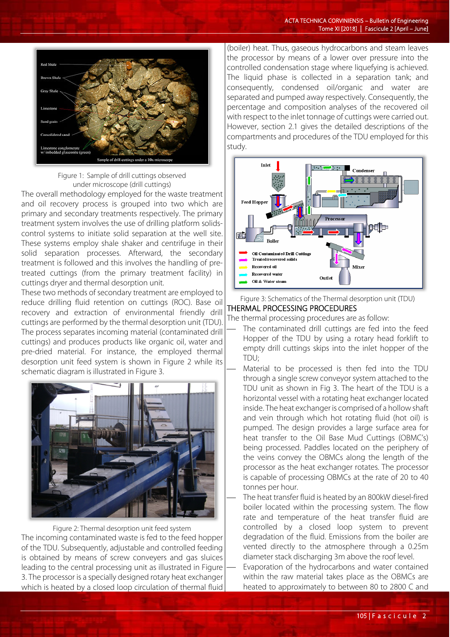

 Figure 1: Sample of drill cuttings observed under microscope (drill cuttings)

The overall methodology employed for the waste treatment and oil recovery process is grouped into two which are primary and secondary treatments respectively. The primary treatment system involves the use of drilling platform solidscontrol systems to initiate solid separation at the well site. These systems employ shale shaker and centrifuge in their solid separation processes. Afterward, the secondary treatment is followed and this involves the handling of pretreated cuttings (from the primary treatment facility) in cuttings dryer and thermal desorption unit.

These two methods of secondary treatment are employed to reduce drilling fluid retention on cuttings (ROC). Base oil recovery and extraction of environmental friendly drill cuttings are performed by the thermal desorption unit (TDU). The process separates incoming material (contaminated drill cuttings) and produces products like organic oil, water and pre-dried material. For instance, the employed thermal desorption unit feed system is shown in Figure 2 while its schematic diagram is illustrated in Figure 3.



Figure 2: Thermal desorption unit feed system The incoming contaminated waste is fed to the feed hopper of the TDU. Subsequently, adjustable and controlled feeding is obtained by means of screw conveyers and gas sluices leading to the central processing unit as illustrated in Figure 3. The processor is a specially designed rotary heat exchanger which is heated by a closed loop circulation of thermal fluid

(boiler) heat. Thus, gaseous hydrocarbons and steam leaves the processor by means of a lower over pressure into the controlled condensation stage where liquefying is achieved. The liquid phase is collected in a separation tank; and consequently, condensed oil/organic and water are separated and pumped away respectively. Consequently, the percentage and composition analyses of the recovered oil with respect to the inlet tonnage of cuttings were carried out. However, section 2.1 gives the detailed descriptions of the compartments and procedures of the TDU employed for this study.



Figure 3: Schematics of the Thermal desorption unit (TDU) THERMAL PROCESSING PROCEDURES

The thermal processing procedures are as follow:

- The contaminated drill cuttings are fed into the feed Hopper of the TDU by using a rotary head forklift to empty drill cuttings skips into the inlet hopper of the TDU;
- Material to be processed is then fed into the TDU through a single screw conveyor system attached to the TDU unit as shown in Fig 3. The heart of the TDU is a horizontal vessel with a rotating heat exchanger located inside. The heat exchanger is comprised of a hollow shaft and vein through which hot rotating fluid (hot oil) is pumped. The design provides a large surface area for heat transfer to the Oil Base Mud Cuttings (OBMC's) being processed. Paddles located on the periphery of the veins convey the OBMCs along the length of the processor as the heat exchanger rotates. The processor is capable of processing OBMCs at the rate of 20 to 40 tonnes per hour.

 The heat transfer fluid is heated by an 800kW diesel-fired boiler located within the processing system. The flow rate and temperature of the heat transfer fluid are controlled by a closed loop system to prevent degradation of the fluid. Emissions from the boiler are vented directly to the atmosphere through a 0.25m diameter stack discharging 3m above the roof level.

 Evaporation of the hydrocarbons and water contained within the raw material takes place as the OBMCs are heated to approximately to between 80 to 2800 C and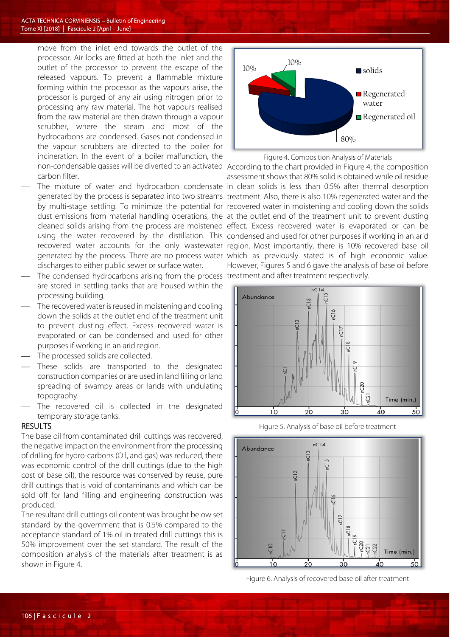move from the inlet end towards the outlet of the processor. Air locks are fitted at both the inlet and the outlet of the processor to prevent the escape of the released vapours. To prevent a flammable mixture forming within the processor as the vapours arise, the processor is purged of any air using nitrogen prior to processing any raw material. The hot vapours realised from the raw material are then drawn through a vapour scrubber, where the steam and most of the hydrocarbons are condensed. Gases not condensed in the vapour scrubbers are directed to the boiler for incineration. In the event of a boiler malfunction, the non-condensable gasses will be diverted to an activated carbon filter.

- The mixture of water and hydrocarbon condensate generated by the process is separated into two streams by multi-stage settling. To minimize the potential for dust emissions from material handling operations, the cleaned solids arising from the process are moistened using the water recovered by the distillation. This recovered water accounts for the only wastewater generated by the process. There are no process water discharges to either public sewer or surface water.
- The condensed hydrocarbons arising from the process are stored in settling tanks that are housed within the processing building.
- The recovered water is reused in moistening and cooling down the solids at the outlet end of the treatment unit to prevent dusting effect. Excess recovered water is evaporated or can be condensed and used for other purposes if working in an arid region.
- The processed solids are collected.
- These solids are transported to the designated construction companies or are used in land filling or land spreading of swampy areas or lands with undulating topography.
- The recovered oil is collected in the designated temporary storage tanks.

### **RESULTS**

The base oil from contaminated drill cuttings was recovered, the negative impact on the environment from the processing of drilling for hydro-carbons (Oil, and gas) was reduced, there was economic control of the drill cuttings (due to the high cost of base oil), the resource was conserved by reuse, pure drill cuttings that is void of contaminants and which can be sold off for land filling and engineering construction was produced.

The resultant drill cuttings oil content was brought below set standard by the government that is 0.5% compared to the acceptance standard of 1% oil in treated drill cuttings this is 50% improvement over the set standard. The result of the composition analysis of the materials after treatment is as shown in Figure 4.



Figure 4. Composition Analysis of Materials

According to the chart provided in Figure 4, the composition assessment shows that 80% solid is obtained while oil residue in clean solids is less than 0.5% after thermal desorption treatment. Also, there is also 10% regenerated water and the recovered water in moistening and cooling down the solids at the outlet end of the treatment unit to prevent dusting effect. Excess recovered water is evaporated or can be condensed and used for other purposes if working in an arid region. Most importantly, there is 10% recovered base oil which as previously stated is of high economic value. However, Figures 5 and 6 gave the analysis of base oil before treatment and after treatment respectively.







Figure 6. Analysis of recovered base oil after treatment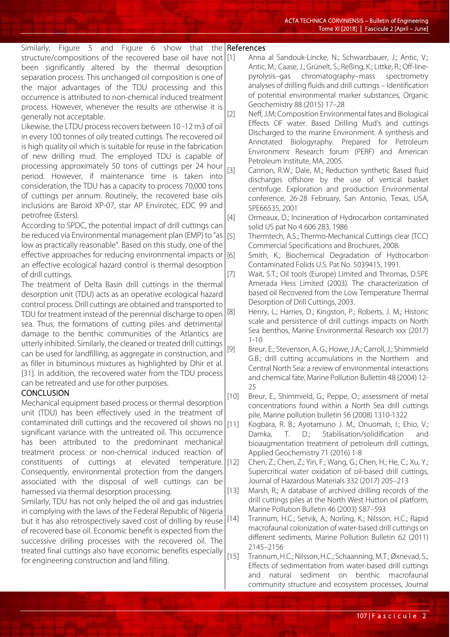| Similarly, Figure 5 and Figure 6 show that the References                     |     |                                                                                                           |
|-------------------------------------------------------------------------------|-----|-----------------------------------------------------------------------------------------------------------|
| structure/compositions of the recovered base oil have not [1]                 |     | Anna al Sandouk-Lincke, N.; Schwarzbauer, J.; Antic, V.;                                                  |
| been significantly altered by the thermal desorption                          |     | Antic, M.; Caase, J.; Grünelt, S.; Reßing, K.; Littke, R.; Off-line-                                      |
| separation process. This unchanged oil composition is one of                  |     | pyrolysis-gas chromatography-mass spectrometry                                                            |
| the major advantages of the TDU processing and this                           |     | analyses of drilling fluids and drill cuttings - Identification                                           |
| occurrence is attributed to non-chemical induced treatment                    |     | of potential environmental marker substances, Organic                                                     |
| process. However, whenever the results are otherwise it is                    |     | Geochemistry 88 (2015) 17-28                                                                              |
| generally not acceptable.                                                     | [2] | Neff, J.M; Composition Environmental fates and Biological                                                 |
| Likewise, the LTDU process recovers between 10-12 m3 of oil                   |     | Effects OF water. Based Drilling Mud's and cuttings                                                       |
| in every 100 tonnes of oily treated cuttings. The recovered oil               |     | Discharged to the marine Environment. A synthesis and                                                     |
| is high quality oil which is suitable for reuse in the fabrication            |     | Annotated Biologyraphy. Prepared for Petroleum                                                            |
| of new drilling mud. The employed TDU is capable of                           |     | Environment Research forum (PERF) and American                                                            |
|                                                                               |     | Petroleum Institute, MA, 2005.                                                                            |
| processing approximately 50 tons of cuttings per 24 hour $\vert_{\text{rel}}$ |     | $C_1$ and $C_2$ and $D_3$ and $D_4$ and $D_5$ and $D_5$ and $D_6$ and $D_7$ and $D_8$ and $D_7$ and $D_8$ |

- [3] Cannon, R.W.; Dale, M.; Reduction synthetic Based fluid discharges offshore by the use of vertical basket centrifuge. Exploration and production Environmental conference, 26-28 February, San Antonio, Texas, USA, SPE66535, 2001
- [4] Ormeaux, D.; Incineration of Hydrocarbon contaminated solid US pat No 4 606 283, 1986
	- Thermtech, A.S.; Thermo-Mechanical Cuttings clear (TCC) Commercial Specifications and Brochures, 2008.
- [6] Smith, K.; Biochemical Degradation of Hydrocarbon Contaminated Folids U.S. Pat No. 5039415, 1991.
- [7] Wait, S.T.; Oil tools (Europe) Limited and Thromas, D.SPE Amerada Hess Limited (2003). The characterization of based oil Recovered from the Low Temperature Thermal Desorption of Drill Cuttings, 2003.
- [8] Henry, L.; Harries, D.; Kingston, P.; Roberts, J. M.; Historic scale and persistence of drill cuttings impacts on North Sea benthos, Marine Environmental Research xxx (2017)  $1 - 10$
- [9] Breur, E.; Stevenson, A. G.; Howe, J.A.; Carroll, J.; Shimmield G.B.; drill cutting accumulations in the Northern and Central North Sea: a review of environmental interactions and chemical fate, Marine Pollution Bullettin 48 (2004) 12- 25
- [10] Breur, E., Shimmield, G.; Peppe, O.; assessment of metal concentrations found within a North Sea drill cuttings pile, Marine pollution bulletin 56 (2008) 1310-1322
	- Kogbara, R. B.; Ayotamuno J. M., Onuomah, I.; Ehio, V.; Damka, T. D.; Stabilisation/solidification and bioaugmentation treatment of petroleum drill cuttings, Applied Geochemistry 71 (2016) 1-8
	- [12] Chen, Z.; Chen, Z.; Yin, F.; Wang, G.; Chen, H.; He, C.; Xu, Y.; Supercritical water oxidation of oil-based drill cuttings, Journal of Hazardous Materials 332 (2017) 205–213
- [13] Marsh, R.; A database of archived drilling records of the drill cuttings piles at the North West Hutton oil platform, Marine Pollution Bulletin 46 (2003) 587–593
	- Trannum, H.C.; Setvik, A.; Norling, K.; Nilsson, H.C.; Rapid macrofaunal colonization of water-based drill cuttings on different sediments, Marine Pollution Bulletin 62 (2011) 2145–2156
- [15] Trannum, H.C.; Nilsson, H.C.; Schaanning, M.T.; Øxnevad, S.; Effects of sedimentation from water-based drill cuttings and natural sediment on benthic macrofaunal community structure and ecosystem processes, Journal

processing approximately 50 tons of cuttings per 24 hour period. However, if maintenance time is taken into consideration, the TDU has a capacity to process 70,000 tons of cuttings per annum. Routinely, the recovered base oils inclusions are Baroid XP-07, star AP Envirotec, EDC 99 and petrofree (Esters).

According to SPDC, the potential impact of drill cuttings can be reduced via Environmental management plan (EMP) to "as | [5] low as practically reasonable". Based on this study, one of the effective approaches for reducing environmental impacts or an effective ecological hazard control is thermal desorption of drill cuttings.

The treatment of Delta Basin drill cuttings in the thermal desorption unit (TDU) acts as an operative ecological hazard control process. Drill cuttings are obtained and transported to TDU for treatment instead of the perennial discharge to open sea. Thus, the formations of cutting piles and detrimental damage to the benthic communities of the Atlantics are utterly inhibited. Similarly, the cleaned or treated drill cuttings can be used for landfilling, as aggregate in construction, and as filler in bituminous mixtures as highlighted by Dhir et al. [31]. In addition, the recovered water from the TDU process can be retreated and use for other purposes.

## **CONCLUSION**

Mechanical equipment based process or thermal desorption unit (TDU) has been effectively used in the treatment of contaminated drill cuttings and the recovered oil shows no  $\vert$ [11] significant variance with the untreated oil. This occurrence has been attributed to the predominant mechanical treatment process or non-chemical induced reaction of constituents of cuttings at elevated temperature. Consequently, environmental protection from the dangers associated with the disposal of well cuttings can be harnessed via thermal desorption processing.

Similarly, TDU has not only helped the oil and gas industries in complying with the laws of the Federal Republic of Nigeria but it has also retrospectively saved cost of drilling by reuse [14] of recovered base oil. Economic benefit is expected from the successive drilling processes with the recovered oil. The treated final cuttings also have economic benefits especially for engineering construction and land filling.